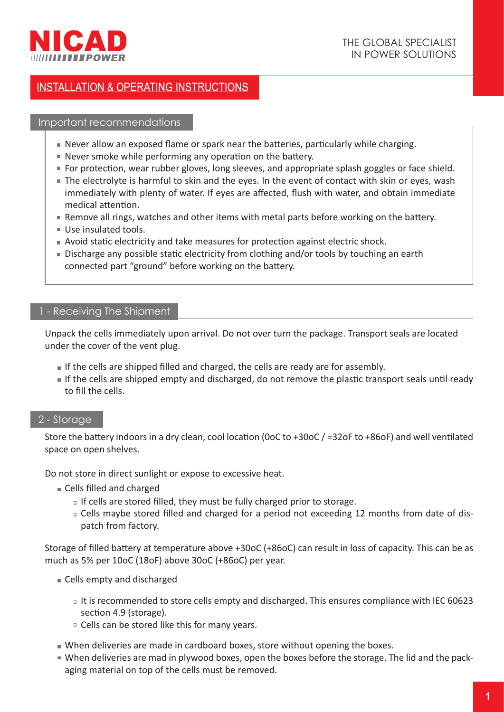

### Important recommendations

- $\blacksquare$  Never allow an exposed flame or spark near the batteries, particularly while charging.
- $\blacksquare$  Never smoke while performing any operation on the battery.
- **For protection, wear rubber gloves, long sleeves, and appropriate splash goggles or face shield.**
- The electrolyte is harmful to skin and the eyes. In the event of contact with skin or eyes, wash immediately with plenty of water. If eyes are affected, flush with water, and obtain immediate medical attention.
- Remove all rings, watches and other items with metal parts before working on the battery.
- Use insulated tools.
- **Avoid static electricity and take measures for protection against electric shock.**
- Discharge any possible static electricity from clothing and/or tools by touching an earth connected part "ground" before working on the battery.

# 1 - Receiving The Shipment

Unpack the cells immediately upon arrival. Do not over turn the package. Transport seals are located under the cover of the vent plug.

- If the cells are shipped filled and charged, the cells are ready are for assembly.
- If the cells are shipped empty and discharged, do not remove the plastic transport seals until ready to fill the cells.

# 2 - Storage

Store the battery indoors in a dry clean, cool location (0oC to +30oC / =32oF to +86oF) and well ventilated space on open shelves.

Do not store in direct sunlight or expose to excessive heat.

- Cells filled and charged
	- $\overline{a}$  If cells are stored filled, they must be fully charged prior to storage.
	- □ Cells maybe stored filled and charged for a period not exceeding 12 months from date of dispatch from factory.

Storage of filled battery at temperature above +30oC (+86oC) can result in loss of capacity. This can be as much as 5% per 10oC (18oF) above 30oC (+86oC) per year.

- Cells empty and discharged
	- It is recommended to store cells empty and discharged. This ensures compliance with IEC 60623 section 4.9 (storage).
	- □ Cells can be stored like this for many years.
- When deliveries are made in cardboard boxes, store without opening the boxes.
- When deliveries are mad in plywood boxes, open the boxes before the storage. The lid and the packaging material on top of the cells must be removed.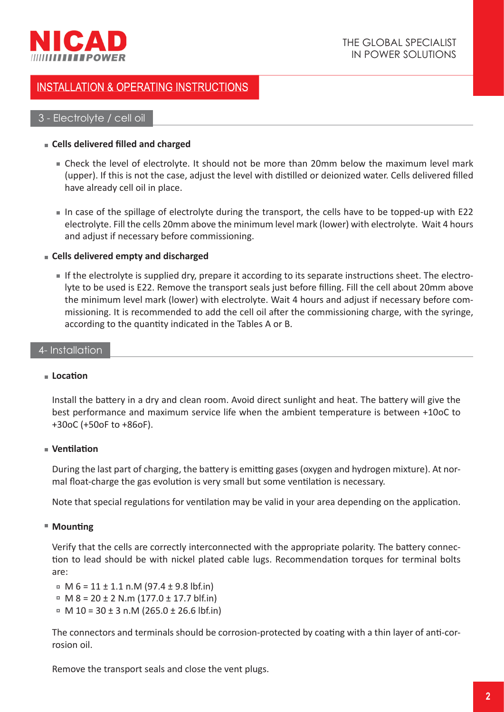

# 3 - Electrolyte / cell oil

## **Cells delivered fi lled and charged**

- Check the level of electrolyte. It should not be more than 20mm below the maximum level mark (upper). If this is not the case, adjust the level with distilled or deionized water. Cells delivered filled have already cell oil in place.
- In case of the spillage of electrolyte during the transport, the cells have to be topped-up with E22 electrolyte. Fill the cells 20mm above the minimum level mark (lower) with electrolyte. Wait 4 hours and adjust if necessary before commissioning.

## **Cells delivered empty and discharged**

If the electrolyte is supplied dry, prepare it according to its separate instructions sheet. The electrolyte to be used is E22. Remove the transport seals just before filling. Fill the cell about 20mm above the minimum level mark (lower) with electrolyte. Wait 4 hours and adjust if necessary before commissioning. It is recommended to add the cell oil after the commissioning charge, with the syringe, according to the quantity indicated in the Tables A or B.

## 4- Installation

#### $\blacksquare$  Location

Install the battery in a dry and clean room. Avoid direct sunlight and heat. The battery will give the best performance and maximum service life when the ambient temperature is between +10oC to +30oC (+50oF to +86oF).

# **Ventilation**

During the last part of charging, the battery is emitting gases (oxygen and hydrogen mixture). At normal float-charge the gas evolution is very small but some ventilation is necessary.

Note that special regulations for ventilation may be valid in your area depending on the application.

# ■ Mounting

Verify that the cells are correctly interconnected with the appropriate polarity. The battery connection to lead should be with nickel plated cable lugs. Recommendation torques for terminal bolts are:

 $M_6 = 11 \pm 1.1 \text{ n.M } (97.4 \pm 9.8 \text{ lbf.in})$ 

- $M = 8 = 20 \pm 2$  N.m (177.0  $\pm$  17.7 blf.in)
- $M = M 10 = 30 \pm 3$  n.M (265.0 ± 26.6 lbf.in)

The connectors and terminals should be corrosion-protected by coating with a thin layer of anti-corrosion oil.

Remove the transport seals and close the vent plugs.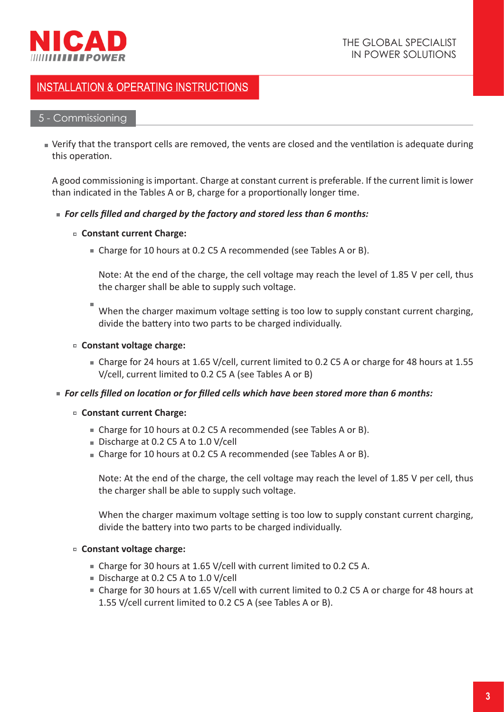

## 5 - Commissioning

 $\blacksquare$  Verify that the transport cells are removed, the vents are closed and the ventilation is adequate during this operation.

A good commissioning is important. Charge at constant current is preferable. If the current limit is lower than indicated in the Tables A or B, charge for a proportionally longer time.

## *For cells fi lled and charged by the factory and stored less than 6 months:*

## **Constant current Charge:**

■ Charge for 10 hours at 0.2 C5 A recommended (see Tables A or B).

Note: At the end of the charge, the cell voltage may reach the level of 1.85 V per cell, thus the charger shall be able to supply such voltage.

When the charger maximum voltage setting is too low to supply constant current charging, divide the battery into two parts to be charged individually.

## **Constant voltage charge:**

Charge for 24 hours at 1.65 V/cell, current limited to 0.2 C5 A or charge for 48 hours at 1.55 V/cell, current limited to 0.2 C5 A (see Tables A or B)

#### **For cells filled on location or for filled cells which have been stored more than 6 months:**

- **Constant current Charge:**
	- Charge for 10 hours at 0.2 C5 A recommended (see Tables A or B).
	- Discharge at 0.2 C5 A to 1.0 V/cell
	- Charge for 10 hours at 0.2 C5 A recommended (see Tables A or B).

Note: At the end of the charge, the cell voltage may reach the level of 1.85 V per cell, thus the charger shall be able to supply such voltage.

When the charger maximum voltage setting is too low to supply constant current charging, divide the battery into two parts to be charged individually.

#### **Constant voltage charge:**

- Charge for 30 hours at 1.65 V/cell with current limited to 0.2 C5 A.
- Discharge at 0.2 C5 A to 1.0 V/cell
- Charge for 30 hours at 1.65 V/cell with current limited to 0.2 C5 A or charge for 48 hours at 1.55 V/cell current limited to 0.2 C5 A (see Tables A or B).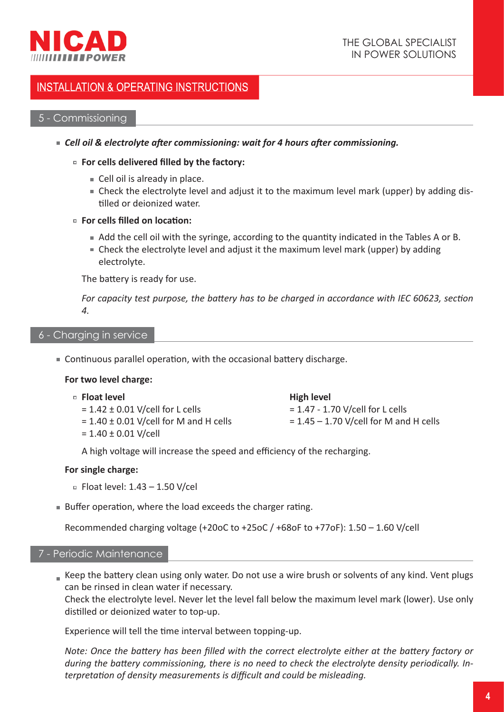

# 5 - Commissioning

- **Example 26 Figst 20 Exercise 25 Figst 20 Figst 20 Figst 20 Figst 20 Figst 20 Figst 20 Figst 20 Figst 20 Figst 20 Figst 20 Figst 20 Figst 20 Figst 20 Figst 20 Figst 20 Figst 20 Figst 20 Figst 20 Figst 20 Figst 20 Figst 20** 
	- **For cells delivered filled by the factory:** 
		- Cell oil is already in place.
		- Check the electrolyte level and adjust it to the maximum level mark (upper) by adding dis tilled or deionized water.
	- **For cells filled on location:** 
		- $\blacksquare$  Add the cell oil with the syringe, according to the quantity indicated in the Tables A or B.
		- Check the electrolyte level and adjust it the maximum level mark (upper) by adding electrolyte.

The battery is ready for use.

*For capacity test purpose, the battery has to be charged in accordance with IEC 60623, section 4.*

#### 6 - Charging in service

 $\blacksquare$  Continuous parallel operation, with the occasional battery discharge.

#### **For two level charge:**

- **Float level**
	- $= 1.42 \pm 0.01$  V/cell for L cells
	- $= 1.40 \pm 0.01$  V/cell for M and H cells
	- $= 1.40 \pm 0.01$  V/cell

**High level**

= 1.47 - 1.70 V/cell for L cells  $= 1.45 - 1.70$  V/cell for M and H cells

A high voltage will increase the speed and efficiency of the recharging.

#### **For single charge:**

- $\overline{P}$  Float level: 1.43 1.50 V/cel
- $\blacksquare$  Buffer operation, where the load exceeds the charger rating.

Recommended charging voltage (+20oC to +25oC / +68oF to +77oF): 1.50 – 1.60 V/cell

### 7 - Periodic Maintenance

Keep the battery clean using only water. Do not use a wire brush or solvents of any kind. Vent plugs can be rinsed in clean water if necessary.

Check the electrolyte level. Never let the level fall below the maximum level mark (lower). Use only distilled or deionized water to top-up.

Experience will tell the time interval between topping-up.

*Note: Once the battery has been filled with the correct electrolyte either at the battery factory or* during the battery commissioning, there is no need to check the electrolyte density periodically. In*terpretation of density measurements is difficult and could be misleading.*